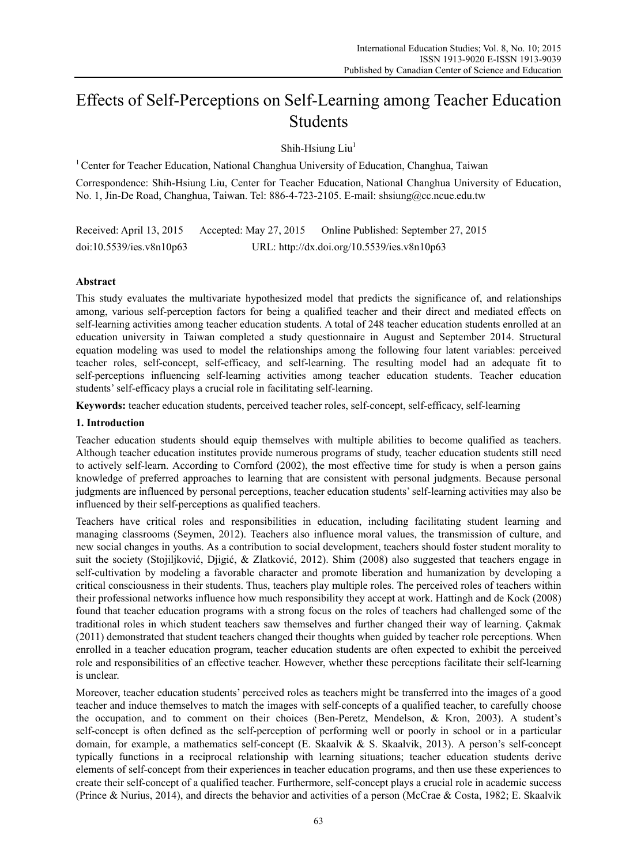# Effects of Self-Perceptions on Self-Learning among Teacher Education Students

Shih-Hsiung  $Liu<sup>1</sup>$ 

<sup>1</sup> Center for Teacher Education, National Changhua University of Education, Changhua, Taiwan

Correspondence: Shih-Hsiung Liu, Center for Teacher Education, National Changhua University of Education, No. 1, Jin-De Road, Changhua, Taiwan. Tel: 886-4-723-2105. E-mail: shsiung@cc.ncue.edu.tw

Received: April 13, 2015 Accepted: May 27, 2015 Online Published: September 27, 2015 doi:10.5539/ies.v8n10p63 URL: http://dx.doi.org/10.5539/ies.v8n10p63

## **Abstract**

This study evaluates the multivariate hypothesized model that predicts the significance of, and relationships among, various self-perception factors for being a qualified teacher and their direct and mediated effects on self-learning activities among teacher education students. A total of 248 teacher education students enrolled at an education university in Taiwan completed a study questionnaire in August and September 2014. Structural equation modeling was used to model the relationships among the following four latent variables: perceived teacher roles, self-concept, self-efficacy, and self-learning. The resulting model had an adequate fit to self-perceptions influencing self-learning activities among teacher education students. Teacher education students' self-efficacy plays a crucial role in facilitating self-learning.

**Keywords:** teacher education students, perceived teacher roles, self-concept, self-efficacy, self-learning

#### **1. Introduction**

Teacher education students should equip themselves with multiple abilities to become qualified as teachers. Although teacher education institutes provide numerous programs of study, teacher education students still need to actively self-learn. According to Cornford (2002), the most effective time for study is when a person gains knowledge of preferred approaches to learning that are consistent with personal judgments. Because personal judgments are influenced by personal perceptions, teacher education students' self-learning activities may also be influenced by their self-perceptions as qualified teachers.

Teachers have critical roles and responsibilities in education, including facilitating student learning and managing classrooms (Seymen, 2012). Teachers also influence moral values, the transmission of culture, and new social changes in youths. As a contribution to social development, teachers should foster student morality to suit the society (Stojiljković, Djigić, & Zlatković, 2012). Shim (2008) also suggested that teachers engage in self-cultivation by modeling a favorable character and promote liberation and humanization by developing a critical consciousness in their students. Thus, teachers play multiple roles. The perceived roles of teachers within their professional networks influence how much responsibility they accept at work. Hattingh and de Kock (2008) found that teacher education programs with a strong focus on the roles of teachers had challenged some of the traditional roles in which student teachers saw themselves and further changed their way of learning. Çakmak (2011) demonstrated that student teachers changed their thoughts when guided by teacher role perceptions. When enrolled in a teacher education program, teacher education students are often expected to exhibit the perceived role and responsibilities of an effective teacher. However, whether these perceptions facilitate their self-learning is unclear.

Moreover, teacher education students' perceived roles as teachers might be transferred into the images of a good teacher and induce themselves to match the images with self-concepts of a qualified teacher, to carefully choose the occupation, and to comment on their choices (Ben-Peretz, Mendelson, & Kron, 2003). A student's self-concept is often defined as the self-perception of performing well or poorly in school or in a particular domain, for example, a mathematics self-concept (E. Skaalvik & S. Skaalvik, 2013). A person's self-concept typically functions in a reciprocal relationship with learning situations; teacher education students derive elements of self-concept from their experiences in teacher education programs, and then use these experiences to create their self-concept of a qualified teacher. Furthermore, self-concept plays a crucial role in academic success (Prince & Nurius, 2014), and directs the behavior and activities of a person (McCrae & Costa, 1982; E. Skaalvik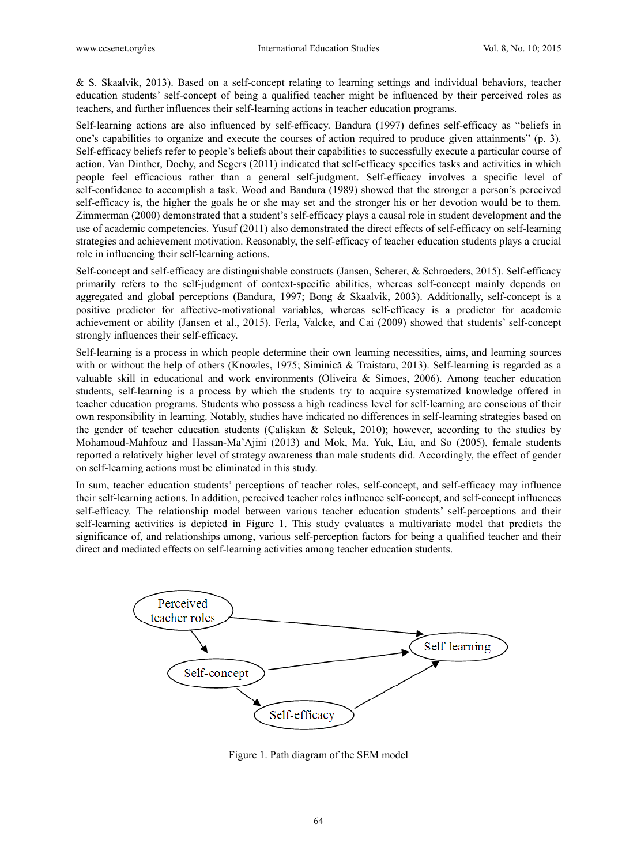& S. Skaalvik, 2013). Based on a self-concept relating to learning settings and individual behaviors, teacher education students' self-concept of being a qualified teacher might be influenced by their perceived roles as teachers, and further influences their self-learning actions in teacher education programs.

Self-learning actions are also influenced by self-efficacy. Bandura (1997) defines self-efficacy as "beliefs in one's capabilities to organize and execute the courses of action required to produce given attainments" (p. 3). Self-efficacy beliefs refer to people's beliefs about their capabilities to successfully execute a particular course of action. Van Dinther, Dochy, and Segers (2011) indicated that self-efficacy specifies tasks and activities in which people feel efficacious rather than a general self-judgment. Self-efficacy involves a specific level of self-confidence to accomplish a task. Wood and Bandura (1989) showed that the stronger a person's perceived self-efficacy is, the higher the goals he or she may set and the stronger his or her devotion would be to them. Zimmerman (2000) demonstrated that a student's self-efficacy plays a causal role in student development and the use of academic competencies. Yusuf (2011) also demonstrated the direct effects of self-efficacy on self-learning strategies and achievement motivation. Reasonably, the self-efficacy of teacher education students plays a crucial role in influencing their self-learning actions.

Self-concept and self-efficacy are distinguishable constructs (Jansen, Scherer, & Schroeders, 2015). Self-efficacy primarily refers to the self-judgment of context-specific abilities, whereas self-concept mainly depends on aggregated and global perceptions (Bandura, 1997; Bong & Skaalvik, 2003). Additionally, self-concept is a positive predictor for affective-motivational variables, whereas self-efficacy is a predictor for academic achievement or ability (Jansen et al., 2015). Ferla, Valcke, and Cai (2009) showed that students' self-concept strongly influences their self-efficacy.

Self-learning is a process in which people determine their own learning necessities, aims, and learning sources with or without the help of others (Knowles, 1975; Siminică & Traistaru, 2013). Self-learning is regarded as a valuable skill in educational and work environments (Oliveira & Simoes, 2006). Among teacher education students, self-learning is a process by which the students try to acquire systematized knowledge offered in teacher education programs. Students who possess a high readiness level for self-learning are conscious of their own responsibility in learning. Notably, studies have indicated no differences in self-learning strategies based on the gender of teacher education students (Çalişkan & Selçuk, 2010); however, according to the studies by Mohamoud-Mahfouz and Hassan-Ma'Ajini (2013) and Mok, Ma, Yuk, Liu, and So (2005), female students reported a relatively higher level of strategy awareness than male students did. Accordingly, the effect of gender on self-learning actions must be eliminated in this study.

In sum, teacher education students' perceptions of teacher roles, self-concept, and self-efficacy may influence their self-learning actions. In addition, perceived teacher roles influence self-concept, and self-concept influences self-efficacy. The relationship model between various teacher education students' self-perceptions and their self-learning activities is depicted in Figure 1. This study evaluates a multivariate model that predicts the significance of, and relationships among, various self-perception factors for being a qualified teacher and their direct and mediated effects on self-learning activities among teacher education students.



Figure 1. Path diagram of the SEM model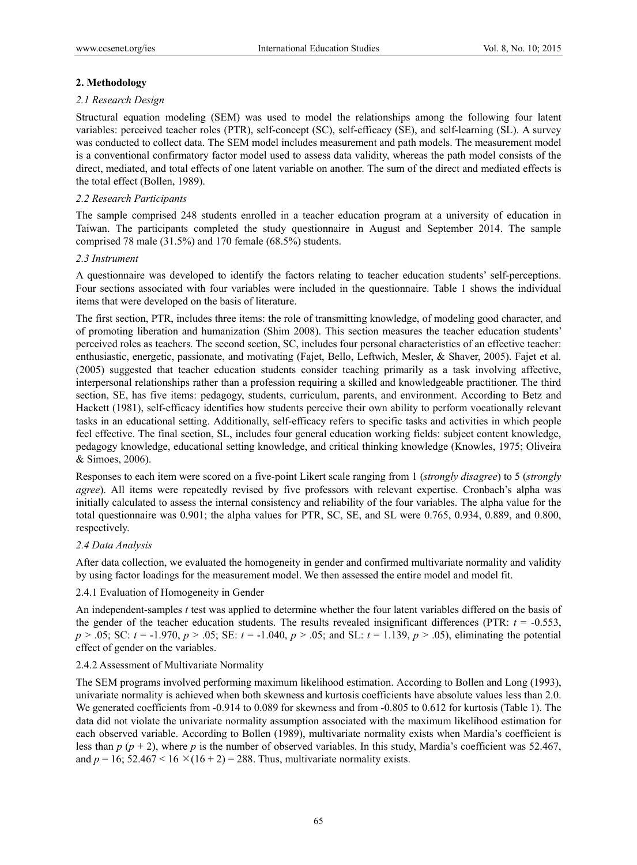## **2. Methodology**

#### *2.1 Research Design*

Structural equation modeling (SEM) was used to model the relationships among the following four latent variables: perceived teacher roles (PTR), self-concept (SC), self-efficacy (SE), and self-learning (SL). A survey was conducted to collect data. The SEM model includes measurement and path models. The measurement model is a conventional confirmatory factor model used to assess data validity, whereas the path model consists of the direct, mediated, and total effects of one latent variable on another. The sum of the direct and mediated effects is the total effect (Bollen, 1989).

## *2.2 Research Participants*

The sample comprised 248 students enrolled in a teacher education program at a university of education in Taiwan. The participants completed the study questionnaire in August and September 2014. The sample comprised 78 male (31.5%) and 170 female (68.5%) students.

#### *2.3 Instrument*

A questionnaire was developed to identify the factors relating to teacher education students' self-perceptions. Four sections associated with four variables were included in the questionnaire. Table 1 shows the individual items that were developed on the basis of literature.

The first section, PTR, includes three items: the role of transmitting knowledge, of modeling good character, and of promoting liberation and humanization (Shim 2008). This section measures the teacher education students' perceived roles as teachers. The second section, SC, includes four personal characteristics of an effective teacher: enthusiastic, energetic, passionate, and motivating (Fajet, Bello, Leftwich, Mesler, & Shaver, 2005). Fajet et al. (2005) suggested that teacher education students consider teaching primarily as a task involving affective, interpersonal relationships rather than a profession requiring a skilled and knowledgeable practitioner. The third section, SE, has five items: pedagogy, students, curriculum, parents, and environment. According to Betz and Hackett (1981), self-efficacy identifies how students perceive their own ability to perform vocationally relevant tasks in an educational setting. Additionally, self-efficacy refers to specific tasks and activities in which people feel effective. The final section, SL, includes four general education working fields: subject content knowledge, pedagogy knowledge, educational setting knowledge, and critical thinking knowledge (Knowles, 1975; Oliveira & Simoes, 2006).

Responses to each item were scored on a five-point Likert scale ranging from 1 (*strongly disagree*) to 5 (*strongly agree*). All items were repeatedly revised by five professors with relevant expertise. Cronbach's alpha was initially calculated to assess the internal consistency and reliability of the four variables. The alpha value for the total questionnaire was 0.901; the alpha values for PTR, SC, SE, and SL were 0.765, 0.934, 0.889, and 0.800, respectively.

#### *2.4 Data Analysis*

After data collection, we evaluated the homogeneity in gender and confirmed multivariate normality and validity by using factor loadings for the measurement model. We then assessed the entire model and model fit.

#### 2.4.1 Evaluation of Homogeneity in Gender

An independent-samples *t* test was applied to determine whether the four latent variables differed on the basis of the gender of the teacher education students. The results revealed insignificant differences (PTR:  $t = -0.553$ , *p* > .05; SC: *t* = -1.970, *p* > .05; SE: *t* = -1.040, *p* > .05; and SL: *t* = 1.139, *p* > .05), eliminating the potential effect of gender on the variables.

#### 2.4.2 Assessment of Multivariate Normality

The SEM programs involved performing maximum likelihood estimation. According to Bollen and Long (1993), univariate normality is achieved when both skewness and kurtosis coefficients have absolute values less than 2.0. We generated coefficients from -0.914 to 0.089 for skewness and from -0.805 to 0.612 for kurtosis (Table 1). The data did not violate the univariate normality assumption associated with the maximum likelihood estimation for each observed variable. According to Bollen (1989), multivariate normality exists when Mardia's coefficient is less than *p* (*p* + 2), where *p* is the number of observed variables. In this study, Mardia's coefficient was 52.467, and  $p = 16$ ; 52.467 < 16  $\times$  (16 + 2) = 288. Thus, multivariate normality exists.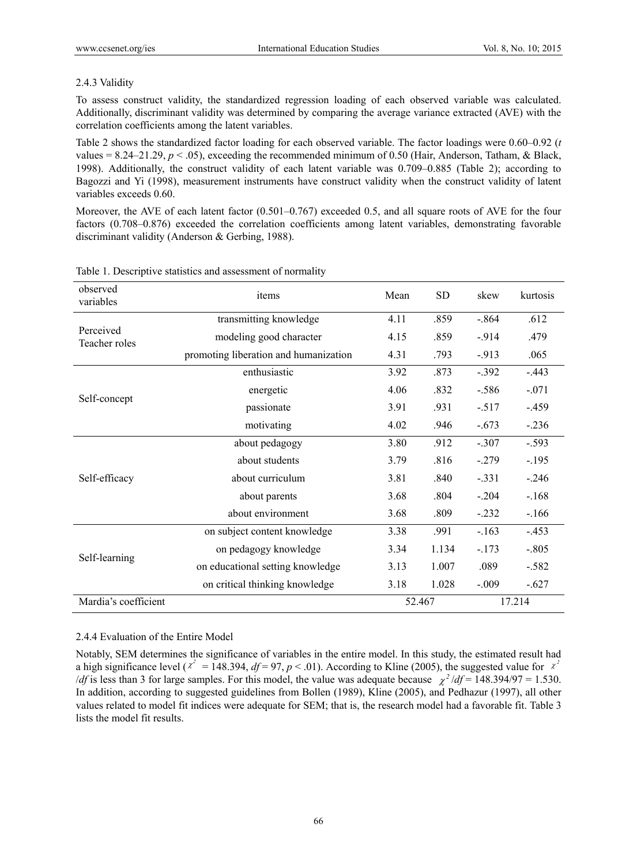## 2.4.3 Validity

To assess construct validity, the standardized regression loading of each observed variable was calculated. Additionally, discriminant validity was determined by comparing the average variance extracted (AVE) with the correlation coefficients among the latent variables.

Table 2 shows the standardized factor loading for each observed variable. The factor loadings were 0.60–0.92 (*t* values =  $8.24-21.29$ ,  $p < .05$ ), exceeding the recommended minimum of 0.50 (Hair, Anderson, Tatham, & Black, 1998). Additionally, the construct validity of each latent variable was 0.709–0.885 (Table 2); according to Bagozzi and Yi (1998), measurement instruments have construct validity when the construct validity of latent variables exceeds 0.60.

Moreover, the AVE of each latent factor (0.501–0.767) exceeded 0.5, and all square roots of AVE for the four factors (0.708–0.876) exceeded the correlation coefficients among latent variables, demonstrating favorable discriminant validity (Anderson & Gerbing, 1988).

| observed<br>variables      | items                                 | Mean | <b>SD</b> | skew    | kurtosis |
|----------------------------|---------------------------------------|------|-----------|---------|----------|
|                            | transmitting knowledge                | 4.11 | .859      | $-.864$ | .612     |
| Perceived<br>Teacher roles | modeling good character               | 4.15 | .859      | $-914$  | .479     |
|                            | promoting liberation and humanization | 4.31 | .793      | $-913$  | .065     |
|                            | enthusiastic                          | 3.92 | .873      | $-.392$ | $-.443$  |
| Self-concept               | energetic                             | 4.06 | .832      | $-.586$ | $-.071$  |
|                            | passionate                            | 3.91 | .931      | $-.517$ | $-.459$  |
|                            | motivating                            | 4.02 | .946      | $-.673$ | $-.236$  |
|                            | about pedagogy                        | 3.80 | .912      | $-.307$ | $-.593$  |
|                            | about students                        | 3.79 | .816      | $-.279$ | $-.195$  |
| Self-efficacy              | about curriculum                      | 3.81 | .840      | $-.331$ | $-.246$  |
|                            | about parents                         | 3.68 | .804      | $-.204$ | $-.168$  |
|                            | about environment                     | 3.68 | .809      | $-.232$ | $-166$   |
|                            | on subject content knowledge          | 3.38 | .991      | $-.163$ | $-.453$  |
|                            | on pedagogy knowledge                 | 3.34 | 1.134     | $-.173$ | $-.805$  |
| Self-learning              | on educational setting knowledge      | 3.13 | 1.007     | .089    | $-.582$  |
|                            | on critical thinking knowledge        | 3.18 | 1.028     | $-.009$ | $-.627$  |
| Mardia's coefficient       | 52.467                                |      |           | 17.214  |          |

Table 1. Descriptive statistics and assessment of normality

## 2.4.4 Evaluation of the Entire Model

Notably, SEM determines the significance of variables in the entire model. In this study, the estimated result had a high significance level ( $x^2 = 148.394$ ,  $df = 97$ ,  $p < .01$ ). According to Kline (2005), the suggested value for  $x^2$ */df* is less than 3 for large samples. For this model, the value was adequate because  $\chi^2/df = 148.394/97 = 1.530$ . In addition, according to suggested guidelines from Bollen (1989), Kline (2005), and Pedhazur (1997), all other values related to model fit indices were adequate for SEM; that is, the research model had a favorable fit. Table 3 lists the model fit results.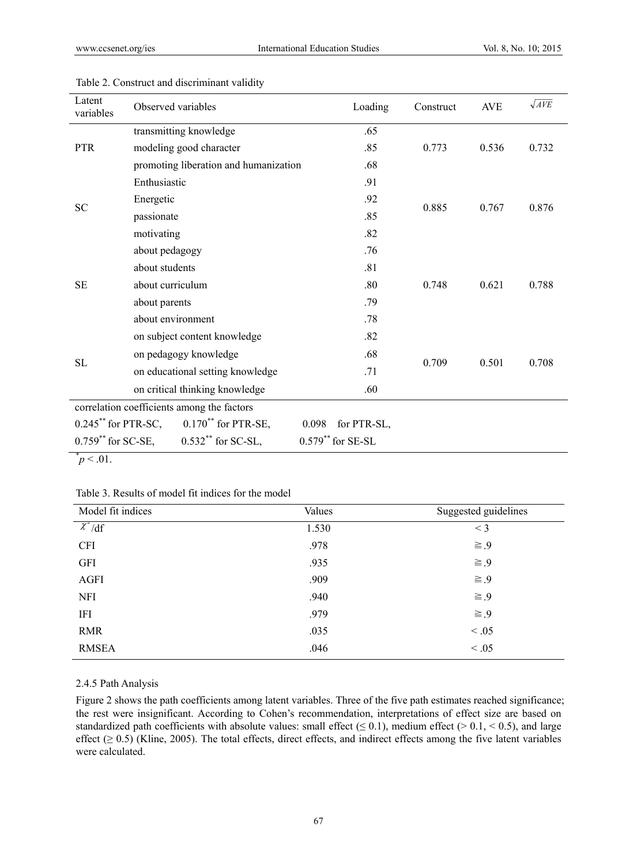| Latent<br>variables                                                    | Observed variables                    | Loading              | Construct | <b>AVE</b> | $\sqrt{AVE}$ |  |
|------------------------------------------------------------------------|---------------------------------------|----------------------|-----------|------------|--------------|--|
| <b>PTR</b>                                                             | transmitting knowledge                | .65                  |           |            |              |  |
|                                                                        | modeling good character               | .85                  | 0.773     | 0.536      | 0.732        |  |
|                                                                        | promoting liberation and humanization | .68                  |           |            |              |  |
| ${\rm SC}$                                                             | Enthusiastic                          | .91                  |           | 0.767      | 0.876        |  |
|                                                                        | Energetic                             | .92                  | 0.885     |            |              |  |
|                                                                        | passionate                            | .85                  |           |            |              |  |
|                                                                        | motivating                            | .82                  |           |            |              |  |
| <b>SE</b>                                                              | about pedagogy                        | .76                  |           | 0.621      | 0.788        |  |
|                                                                        | about students                        | .81                  |           |            |              |  |
|                                                                        | about curriculum                      | .80                  | 0.748     |            |              |  |
|                                                                        | about parents                         | .79                  |           |            |              |  |
|                                                                        | about environment                     | .78                  |           |            |              |  |
| <b>SL</b>                                                              | on subject content knowledge          | .82                  |           | 0.501      | 0.708        |  |
|                                                                        | on pedagogy knowledge                 | .68                  |           |            |              |  |
|                                                                        | on educational setting knowledge      | .71                  | 0.709     |            |              |  |
|                                                                        | on critical thinking knowledge        | .60                  |           |            |              |  |
| correlation coefficients among the factors                             |                                       |                      |           |            |              |  |
| $0.245$ <sup>**</sup> for PTR-SC,<br>$0.170$ <sup>**</sup> for PTR-SE, |                                       | 0.098 for PTR-SL,    |           |            |              |  |
| $0.759$ ** for SC-SE,<br>$0.532$ <sup>**</sup> for SC-SL,              |                                       | $0.579$ ** for SE-SL |           |            |              |  |
| $p < .01$ .                                                            |                                       |                      |           |            |              |  |

#### Table 2. Construct and discriminant validity

Table 3. Results of model fit indices for the model

| Model fit indices | Values | Suggested guidelines |
|-------------------|--------|----------------------|
| $\chi^2/df$       | 1.530  | $<$ 3                |
| <b>CFI</b>        | .978   | $\geq .9$            |
| <b>GFI</b>        | .935   | $\geq .9$            |
| <b>AGFI</b>       | .909   | $\geq .9$            |
| <b>NFI</b>        | .940   | $\geq .9$            |
| IFI               | .979   | $\geq .9$            |
| <b>RMR</b>        | .035   | < 0.05               |
| <b>RMSEA</b>      | .046   | < 0.05               |

# 2.4.5 Path Analysis

Figure 2 shows the path coefficients among latent variables. Three of the five path estimates reached significance; the rest were insignificant. According to Cohen's recommendation, interpretations of effect size are based on standardized path coefficients with absolute values: small effect ( $\leq 0.1$ ), medium effect ( $> 0.1, < 0.5$ ), and large effect ( $\geq$  0.5) (Kline, 2005). The total effects, direct effects, and indirect effects among the five latent variables were calculated.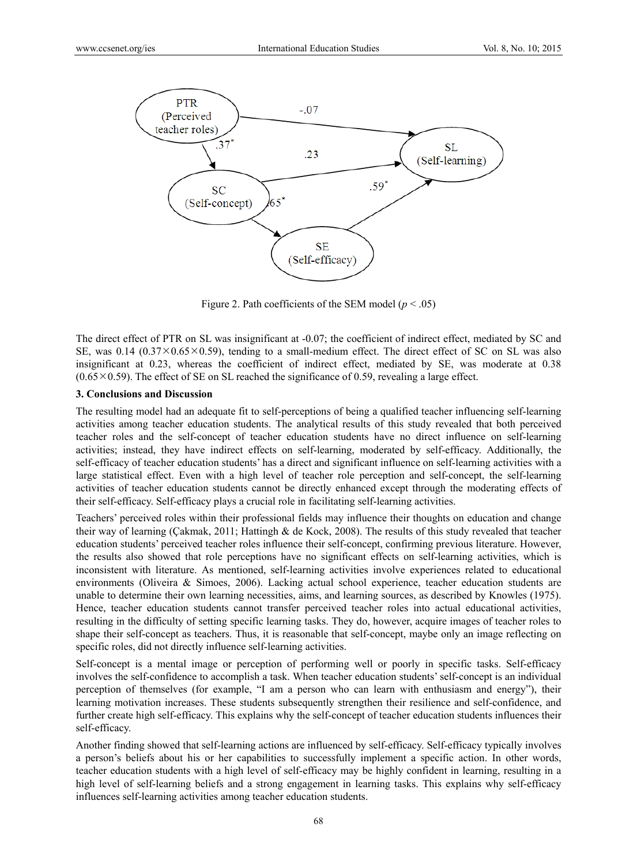

Figure 2. Path coefficients of the SEM model  $(p < .05)$ 

The direct effect of PTR on SL was insignificant at -0.07; the coefficient of indirect effect, mediated by SC and SE, was 0.14 (0.37 $\times$ 0.65 $\times$ 0.59), tending to a small-medium effect. The direct effect of SC on SL was also insignificant at 0.23, whereas the coefficient of indirect effect, mediated by SE, was moderate at 0.38  $(0.65 \times 0.59)$ . The effect of SE on SL reached the significance of 0.59, revealing a large effect.

#### **3. Conclusions and Discussion**

The resulting model had an adequate fit to self-perceptions of being a qualified teacher influencing self-learning activities among teacher education students. The analytical results of this study revealed that both perceived teacher roles and the self-concept of teacher education students have no direct influence on self-learning activities; instead, they have indirect effects on self-learning, moderated by self-efficacy. Additionally, the self-efficacy of teacher education students' has a direct and significant influence on self-learning activities with a large statistical effect. Even with a high level of teacher role perception and self-concept, the self-learning activities of teacher education students cannot be directly enhanced except through the moderating effects of their self-efficacy. Self-efficacy plays a crucial role in facilitating self-learning activities.

Teachers' perceived roles within their professional fields may influence their thoughts on education and change their way of learning (Çakmak, 2011; Hattingh & de Kock, 2008). The results of this study revealed that teacher education students' perceived teacher roles influence their self-concept, confirming previous literature. However, the results also showed that role perceptions have no significant effects on self-learning activities, which is inconsistent with literature. As mentioned, self-learning activities involve experiences related to educational environments (Oliveira & Simoes, 2006). Lacking actual school experience, teacher education students are unable to determine their own learning necessities, aims, and learning sources, as described by Knowles (1975). Hence, teacher education students cannot transfer perceived teacher roles into actual educational activities, resulting in the difficulty of setting specific learning tasks. They do, however, acquire images of teacher roles to shape their self-concept as teachers. Thus, it is reasonable that self-concept, maybe only an image reflecting on specific roles, did not directly influence self-learning activities.

Self-concept is a mental image or perception of performing well or poorly in specific tasks. Self-efficacy involves the self-confidence to accomplish a task. When teacher education students' self-concept is an individual perception of themselves (for example, "I am a person who can learn with enthusiasm and energy"), their learning motivation increases. These students subsequently strengthen their resilience and self-confidence, and further create high self-efficacy. This explains why the self-concept of teacher education students influences their self-efficacy.

Another finding showed that self-learning actions are influenced by self-efficacy. Self-efficacy typically involves a person's beliefs about his or her capabilities to successfully implement a specific action. In other words, teacher education students with a high level of self-efficacy may be highly confident in learning, resulting in a high level of self-learning beliefs and a strong engagement in learning tasks. This explains why self-efficacy influences self-learning activities among teacher education students.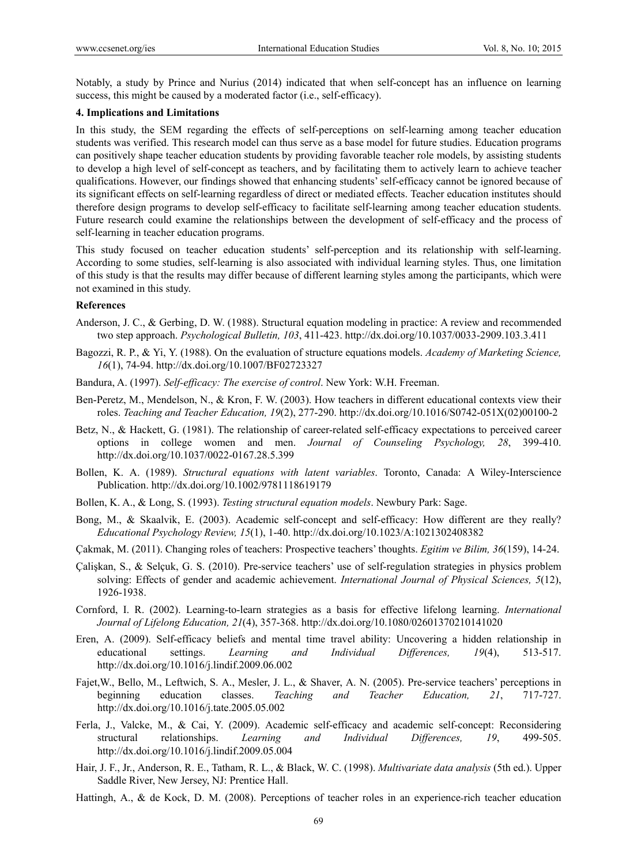Notably, a study by Prince and Nurius (2014) indicated that when self-concept has an influence on learning success, this might be caused by a moderated factor (i.e., self-efficacy).

## **4. Implications and Limitations**

In this study, the SEM regarding the effects of self-perceptions on self-learning among teacher education students was verified. This research model can thus serve as a base model for future studies. Education programs can positively shape teacher education students by providing favorable teacher role models, by assisting students to develop a high level of self-concept as teachers, and by facilitating them to actively learn to achieve teacher qualifications. However, our findings showed that enhancing students' self-efficacy cannot be ignored because of its significant effects on self-learning regardless of direct or mediated effects. Teacher education institutes should therefore design programs to develop self-efficacy to facilitate self-learning among teacher education students. Future research could examine the relationships between the development of self-efficacy and the process of self-learning in teacher education programs.

This study focused on teacher education students' self-perception and its relationship with self-learning. According to some studies, self-learning is also associated with individual learning styles. Thus, one limitation of this study is that the results may differ because of different learning styles among the participants, which were not examined in this study.

#### **References**

- Anderson, J. C., & Gerbing, D. W. (1988). Structural equation modeling in practice: A review and recommended two step approach. *Psychological Bulletin, 103*, 411-423. http://dx.doi.org/10.1037/0033-2909.103.3.411
- Bagozzi, R. P., & Yi, Y. (1988). On the evaluation of structure equations models. *Academy of Marketing Science, 16*(1), 74-94. http://dx.doi.org/10.1007/BF02723327
- Bandura, A. (1997). *Self-efficacy: The exercise of control*. New York: W.H. Freeman.
- Ben-Peretz, M., Mendelson, N., & Kron, F. W. (2003). How teachers in different educational contexts view their roles. *Teaching and Teacher Education, 19*(2), 277-290. http://dx.doi.org/10.1016/S0742-051X(02)00100-2
- Betz, N., & Hackett, G. (1981). The relationship of career-related self-efficacy expectations to perceived career options in college women and men. *Journal of Counseling Psychology, 28*, 399-410. http://dx.doi.org/10.1037/0022-0167.28.5.399
- Bollen, K. A. (1989). *Structural equations with latent variables*. Toronto, Canada: A Wiley-Interscience Publication. http://dx.doi.org/10.1002/9781118619179
- Bollen, K. A., & Long, S. (1993). *Testing structural equation models*. Newbury Park: Sage.
- Bong, M., & Skaalvik, E. (2003). Academic self-concept and self-efficacy: How different are they really? *Educational Psychology Review, 15*(1), 1-40. http://dx.doi.org/10.1023/A:1021302408382
- Çakmak, M. (2011). Changing roles of teachers: Prospective teachers' thoughts. *Egitim ve Bilim, 36*(159), 14-24.
- Çalişkan, S., & Selçuk, G. S. (2010). Pre-service teachers' use of self-regulation strategies in physics problem solving: Effects of gender and academic achievement. *International Journal of Physical Sciences, 5*(12), 1926-1938.

Cornford, I. R. (2002). Learning-to-learn strategies as a basis for effective lifelong learning. *International Journal of Lifelong Education, 21*(4), 357-368. http://dx.doi.org/10.1080/02601370210141020

- Eren, A. (2009). Self-efficacy beliefs and mental time travel ability: Uncovering a hidden relationship in educational settings. *Learning and Individual Differences, 19*(4), 513-517. http://dx.doi.org/10.1016/j.lindif.2009.06.002
- Fajet,W., Bello, M., Leftwich, S. A., Mesler, J. L., & Shaver, A. N. (2005). Pre-service teachers' perceptions in beginning education classes. *Teaching and Teacher Education, 21*, 717-727. http://dx.doi.org/10.1016/j.tate.2005.05.002
- Ferla, J., Valcke, M., & Cai, Y. (2009). Academic self-efficacy and academic self-concept: Reconsidering structural relationships. *Learning and Individual Differences, 19*, 499-505. http://dx.doi.org/10.1016/j.lindif.2009.05.004
- Hair, J. F., Jr., Anderson, R. E., Tatham, R. L., & Black, W. C. (1998). *Multivariate data analysis* (5th ed.). Upper Saddle River, New Jersey, NJ: Prentice Hall.
- Hattingh, A., & de Kock, D. M. (2008). Perceptions of teacher roles in an experiencerich teacher education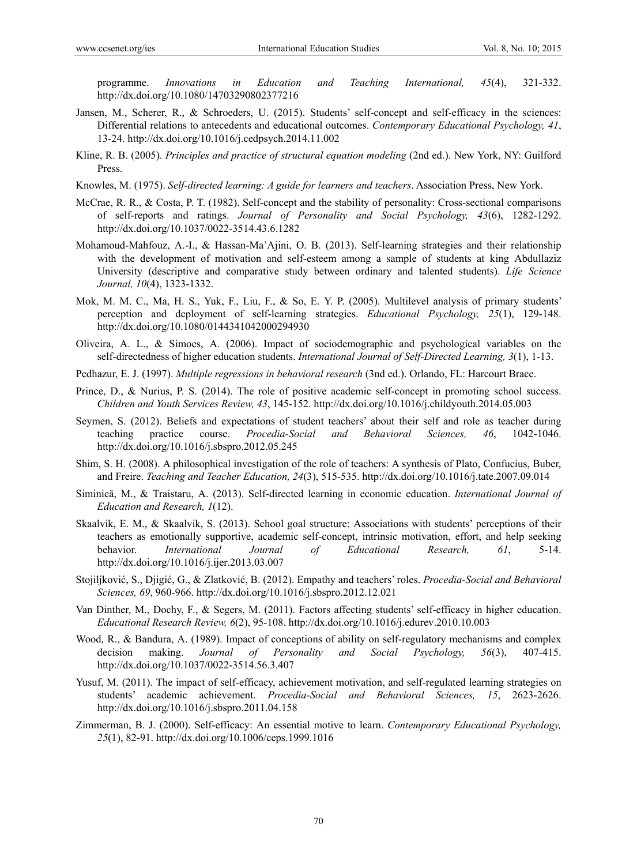programme. *Innovations in Education and Teaching International, 45*(4), 321-332. http://dx.doi.org/10.1080/14703290802377216

- Jansen, M., Scherer, R., & Schroeders, U. (2015). Students' self-concept and self-efficacy in the sciences: Differential relations to antecedents and educational outcomes. *Contemporary Educational Psychology, 41*, 13-24. http://dx.doi.org/10.1016/j.cedpsych.2014.11.002
- Kline, R. B. (2005). *Principles and practice of structural equation modeling* (2nd ed.). New York, NY: Guilford Press.
- Knowles, M. (1975). *Self-directed learning: A guide for learners and teachers*. Association Press, New York.
- McCrae, R. R., & Costa, P. T. (1982). Self-concept and the stability of personality: Cross-sectional comparisons of self-reports and ratings. *Journal of Personality and Social Psychology, 43*(6), 1282-1292. http://dx.doi.org/10.1037/0022-3514.43.6.1282
- Mohamoud-Mahfouz, A.-I., & Hassan-Ma'Ajini, O. B. (2013). Self-learning strategies and their relationship with the development of motivation and self-esteem among a sample of students at king Abdullaziz University (descriptive and comparative study between ordinary and talented students). *Life Science Journal, 10*(4), 1323-1332.
- Mok, M. M. C., Ma, H. S., Yuk, F., Liu, F., & So, E. Y. P. (2005). Multilevel analysis of primary students' perception and deployment of self-learning strategies. *Educational Psychology, 25*(1), 129-148. http://dx.doi.org/10.1080/0144341042000294930
- Oliveira, A. L., & Simoes, A. (2006). Impact of sociodemographic and psychological variables on the self-directedness of higher education students. *International Journal of Self-Directed Learning, 3*(1), 1-13.
- Pedhazur, E. J. (1997). *Multiple regressions in behavioral research* (3nd ed.). Orlando, FL: Harcourt Brace.
- Prince, D., & Nurius, P. S. (2014). The role of positive academic self-concept in promoting school success. *Children and Youth Services Review, 43*, 145-152. http://dx.doi.org/10.1016/j.childyouth.2014.05.003
- Seymen, S. (2012). Beliefs and expectations of student teachers' about their self and role as teacher during teaching practice course. *Procedia-Social and Behavioral Sciences, 46*, 1042-1046. http://dx.doi.org/10.1016/j.sbspro.2012.05.245
- Shim, S. H. (2008). A philosophical investigation of the role of teachers: A synthesis of Plato, Confucius, Buber, and Freire. *Teaching and Teacher Education, 24*(3), 515-535. http://dx.doi.org/10.1016/j.tate.2007.09.014
- Siminică, M., & Traistaru, A. (2013). Self-directed learning in economic education. *International Journal of Education and Research, 1*(12).
- Skaalvik, E. M., & Skaalvik, S. (2013). School goal structure: Associations with students' perceptions of their teachers as emotionally supportive, academic self-concept, intrinsic motivation, effort, and help seeking behavior. *International Journal of Educational Research, 61*, 5-14. http://dx.doi.org/10.1016/j.ijer.2013.03.007
- Stojiljković, S., Djigić, G., & Zlatković, B. (2012). Empathy and teachers' roles. *Procedia-Social and Behavioral Sciences, 69*, 960-966. http://dx.doi.org/10.1016/j.sbspro.2012.12.021
- Van Dinther, M., Dochy, F., & Segers, M. (2011). Factors affecting students' self-efficacy in higher education. *Educational Research Review, 6*(2), 95-108. http://dx.doi.org/10.1016/j.edurev.2010.10.003
- Wood, R., & Bandura, A. (1989). Impact of conceptions of ability on self-regulatory mechanisms and complex decision making. *Journal of Personality and Social Psychology, 56*(3), 407-415. http://dx.doi.org/10.1037/0022-3514.56.3.407
- Yusuf, M. (2011). The impact of self-efficacy, achievement motivation, and self-regulated learning strategies on students' academic achievement. *Procedia-Social and Behavioral Sciences, 15*, 2623-2626. http://dx.doi.org/10.1016/j.sbspro.2011.04.158
- Zimmerman, B. J. (2000). Self-efficacy: An essential motive to learn. *Contemporary Educational Psychology, 25*(1), 82-91. http://dx.doi.org/10.1006/ceps.1999.1016